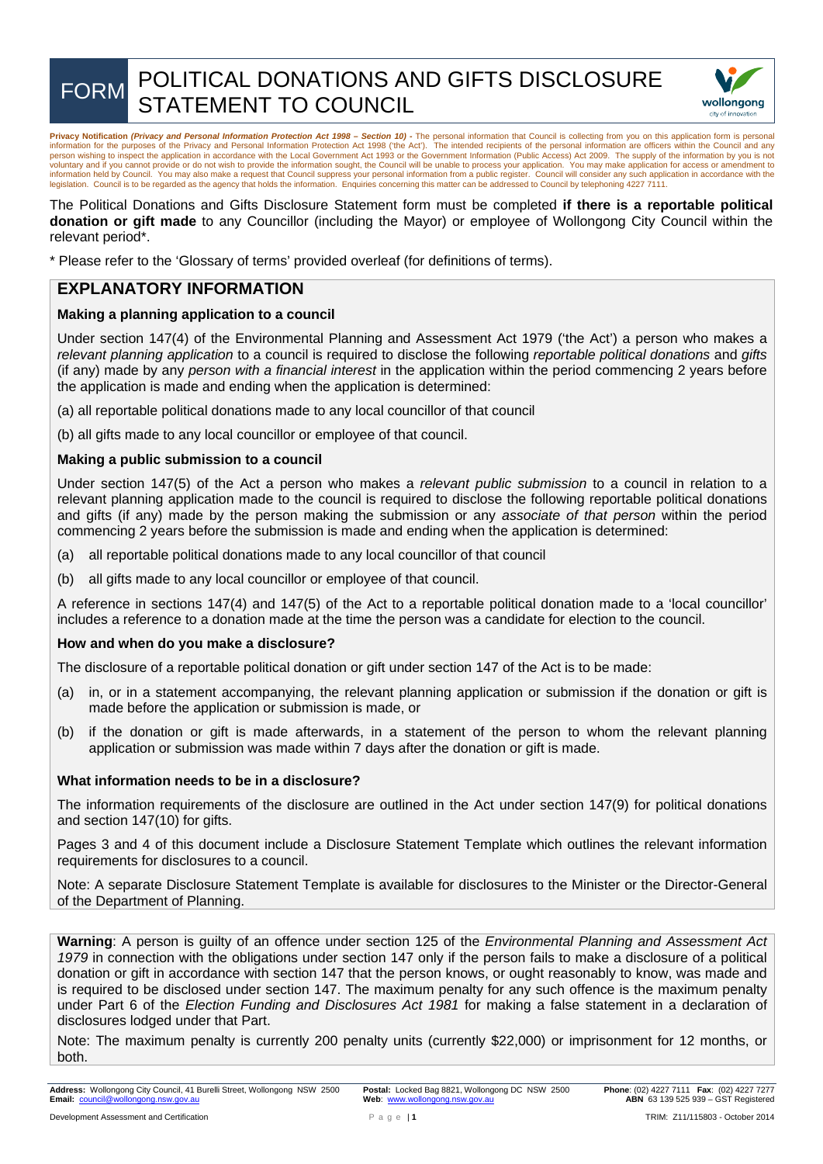

# FORM POLITICAL DONATIONS AND GIFTS DISCLOSURE STATEMENT TO COUNCIL



Privacy Notification (Privacy and Personal Information Protection Act 1998 – Section 10) - The personal information that Council is collecting from you on this application form is personal information for the purposes of the Privacy and Personal Information Protection Act 1998 ('the Act'). The intended recipients of the personal information are officers within the Council and any<br>person wishing to inspect th voluntary and if you cannot provide or do not wish to provide the information sought, the Council will be unable to process your application. You may make application for access or amendment to<br>information held by Council. legislation. Council is to be regarded as the agency that holds the information. Enquiries concerning this matter can be addressed to Council by telephoning 4227 7111.

The Political Donations and Gifts Disclosure Statement form must be completed **if there is a reportable political donation or gift made** to any Councillor (including the Mayor) or employee of Wollongong City Council within the relevant period\*.

\* Please refer to the 'Glossary of terms' provided overleaf (for definitions of terms).

# **EXPLANATORY INFORMATION**

# **Making a planning application to a council**

Under section 147(4) of the Environmental Planning and Assessment Act 1979 ('the Act') a person who makes a *relevant planning application* to a council is required to disclose the following *reportable political donations* and *gifts* (if any) made by any *person with a financial interest* in the application within the period commencing 2 years before the application is made and ending when the application is determined:

- (a) all reportable political donations made to any local councillor of that council
- (b) all gifts made to any local councillor or employee of that council.

## **Making a public submission to a council**

Under section 147(5) of the Act a person who makes a *relevant public submission* to a council in relation to a relevant planning application made to the council is required to disclose the following reportable political donations and gifts (if any) made by the person making the submission or any *associate of that person* within the period commencing 2 years before the submission is made and ending when the application is determined:

- (a) all reportable political donations made to any local councillor of that council
- (b) all gifts made to any local councillor or employee of that council.

A reference in sections 147(4) and 147(5) of the Act to a reportable political donation made to a 'local councillor' includes a reference to a donation made at the time the person was a candidate for election to the council.

## **How and when do you make a disclosure?**

The disclosure of a reportable political donation or gift under section 147 of the Act is to be made:

- (a) in, or in a statement accompanying, the relevant planning application or submission if the donation or gift is made before the application or submission is made, or
- (b) if the donation or gift is made afterwards, in a statement of the person to whom the relevant planning application or submission was made within 7 days after the donation or gift is made.

## **What information needs to be in a disclosure?**

The information requirements of the disclosure are outlined in the Act under section 147(9) for political donations and section 147(10) for gifts.

Pages 3 and 4 of this document include a Disclosure Statement Template which outlines the relevant information requirements for disclosures to a council.

Note: A separate Disclosure Statement Template is available for disclosures to the Minister or the Director-General of the Department of Planning.

**Warning**: A person is guilty of an offence under section 125 of the *Environmental Planning and Assessment Act 1979* in connection with the obligations under section 147 only if the person fails to make a disclosure of a political donation or gift in accordance with section 147 that the person knows, or ought reasonably to know, was made and is required to be disclosed under section 147. The maximum penalty for any such offence is the maximum penalty under Part 6 of the *Election Funding and Disclosures Act 1981* for making a false statement in a declaration of disclosures lodged under that Part.

Note: The maximum penalty is currently 200 penalty units (currently \$22,000) or imprisonment for 12 months, or both.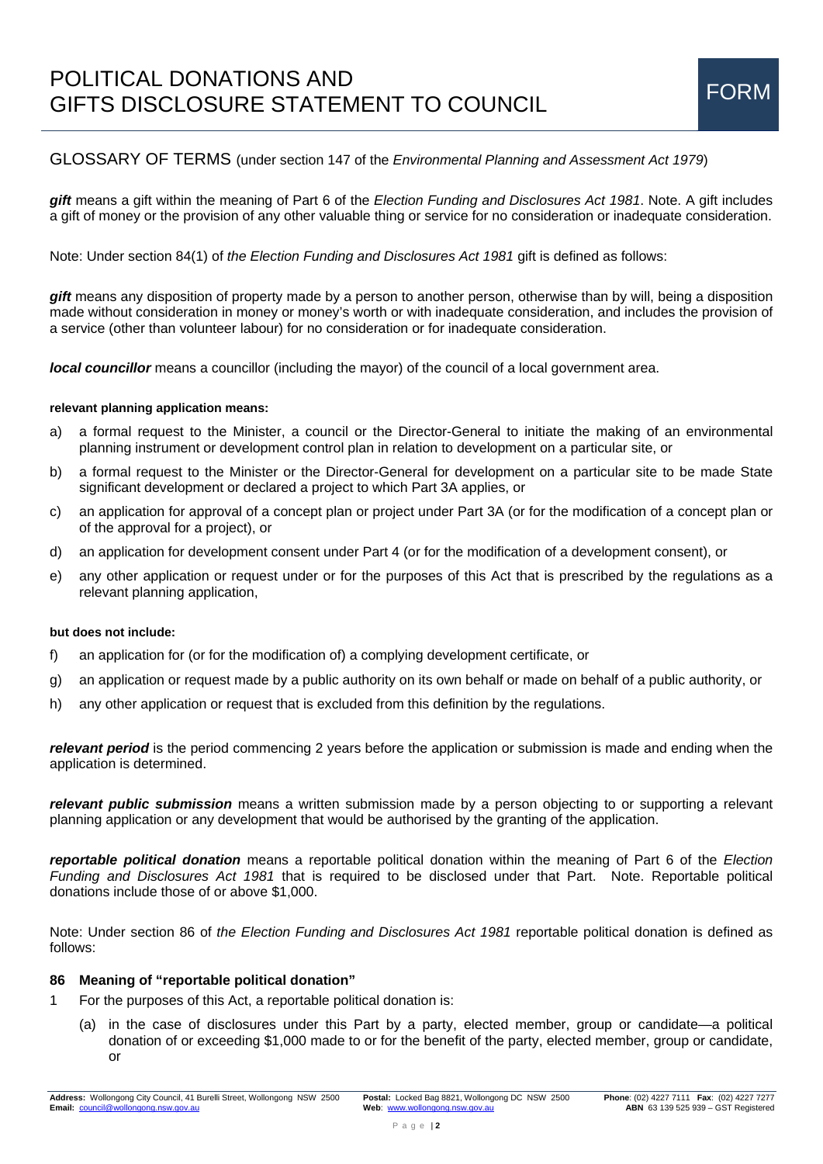# POLITICAL DONATIONS AND TOLITICAL DONATIONS AND<br>GIFTS DISCLOSURE STATEMENT TO COUNCIL FORM

# GLOSSARY OF TERMS (under section 147 of the *Environmental Planning and Assessment Act 1979*)

*gift* means a gift within the meaning of Part 6 of the *Election Funding and Disclosures Act 1981*. Note. A gift includes a gift of money or the provision of any other valuable thing or service for no consideration or inadequate consideration.

Note: Under section 84(1) of *the Election Funding and Disclosures Act 1981* gift is defined as follows:

*gift* means any disposition of property made by a person to another person, otherwise than by will, being a disposition made without consideration in money or money's worth or with inadequate consideration, and includes the provision of a service (other than volunteer labour) for no consideration or for inadequate consideration.

*local councillor* means a councillor (including the mayor) of the council of a local government area.

#### **relevant planning application means:**

- a) a formal request to the Minister, a council or the Director-General to initiate the making of an environmental planning instrument or development control plan in relation to development on a particular site, or
- b) a formal request to the Minister or the Director-General for development on a particular site to be made State significant development or declared a project to which Part 3A applies, or
- c) an application for approval of a concept plan or project under Part 3A (or for the modification of a concept plan or of the approval for a project), or
- d) an application for development consent under Part 4 (or for the modification of a development consent), or
- e) any other application or request under or for the purposes of this Act that is prescribed by the regulations as a relevant planning application,

#### **but does not include:**

- f) an application for (or for the modification of) a complying development certificate, or
- g) an application or request made by a public authority on its own behalf or made on behalf of a public authority, or
- h) any other application or request that is excluded from this definition by the regulations.

*relevant period* is the period commencing 2 years before the application or submission is made and ending when the application is determined.

*relevant public submission* means a written submission made by a person objecting to or supporting a relevant planning application or any development that would be authorised by the granting of the application.

*reportable political donation* means a reportable political donation within the meaning of Part 6 of the *Election Funding and Disclosures Act 1981* that is required to be disclosed under that Part. Note. Reportable political donations include those of or above \$1,000.

Note: Under section 86 of *the Election Funding and Disclosures Act 1981* reportable political donation is defined as follows:

#### **86 Meaning of "reportable political donation"**

- 1 For the purposes of this Act, a reportable political donation is:
	- (a) in the case of disclosures under this Part by a party, elected member, group or candidate—a political donation of or exceeding \$1,000 made to or for the benefit of the party, elected member, group or candidate, or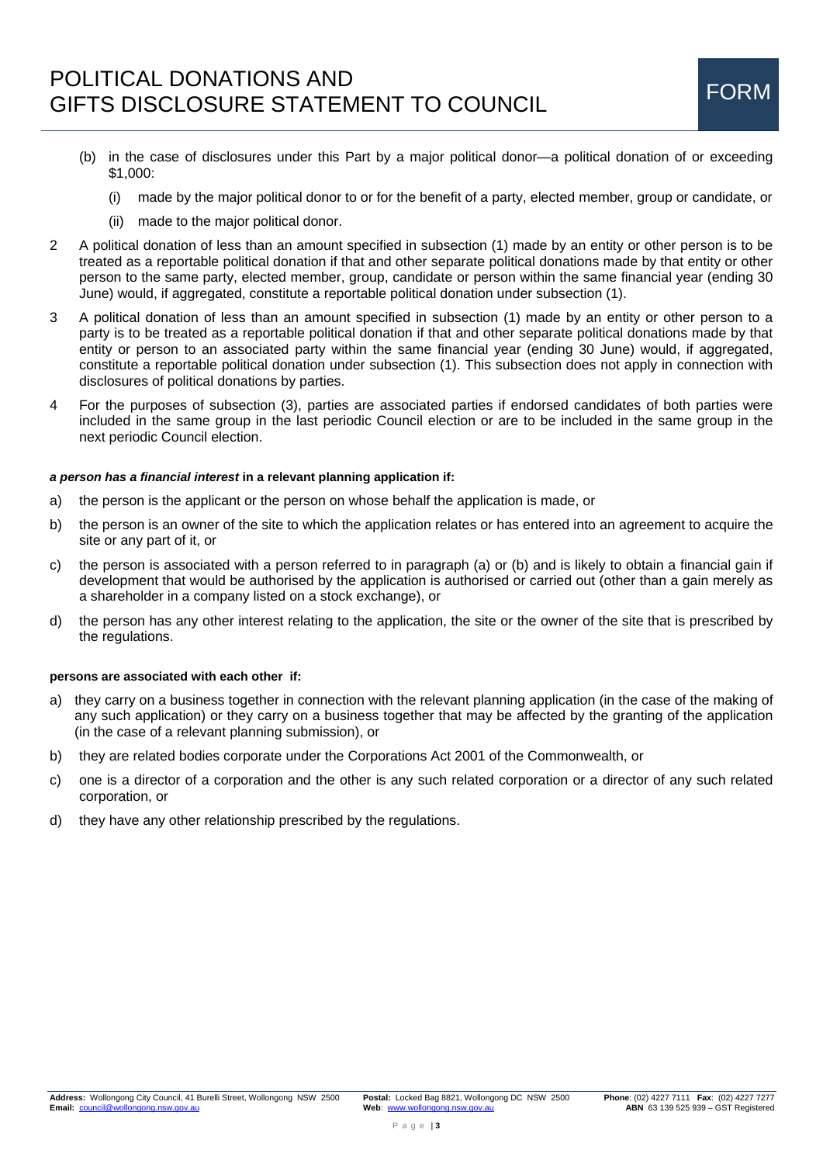- (b) in the case of disclosures under this Part by a major political donor—a political donation of or exceeding \$1,000:
	- (i) made by the major political donor to or for the benefit of a party, elected member, group or candidate, or
	- (ii) made to the major political donor.
- 2 A political donation of less than an amount specified in subsection (1) made by an entity or other person is to be treated as a reportable political donation if that and other separate political donations made by that entity or other person to the same party, elected member, group, candidate or person within the same financial year (ending 30 June) would, if aggregated, constitute a reportable political donation under subsection (1).
- 3 A political donation of less than an amount specified in subsection (1) made by an entity or other person to a party is to be treated as a reportable political donation if that and other separate political donations made by that entity or person to an associated party within the same financial year (ending 30 June) would, if aggregated, constitute a reportable political donation under subsection (1). This subsection does not apply in connection with disclosures of political donations by parties.
- 4 For the purposes of subsection (3), parties are associated parties if endorsed candidates of both parties were included in the same group in the last periodic Council election or are to be included in the same group in the next periodic Council election.

#### *a person has a financial interest* **in a relevant planning application if:**

- a) the person is the applicant or the person on whose behalf the application is made, or
- b) the person is an owner of the site to which the application relates or has entered into an agreement to acquire the site or any part of it, or
- c) the person is associated with a person referred to in paragraph (a) or (b) and is likely to obtain a financial gain if development that would be authorised by the application is authorised or carried out (other than a gain merely as a shareholder in a company listed on a stock exchange), or
- d) the person has any other interest relating to the application, the site or the owner of the site that is prescribed by the regulations.

#### **persons are associated with each other if:**

- a) they carry on a business together in connection with the relevant planning application (in the case of the making of any such application) or they carry on a business together that may be affected by the granting of the application (in the case of a relevant planning submission), or
- b) they are related bodies corporate under the Corporations Act 2001 of the Commonwealth, or
- c) one is a director of a corporation and the other is any such related corporation or a director of any such related corporation, or
- d) they have any other relationship prescribed by the regulations.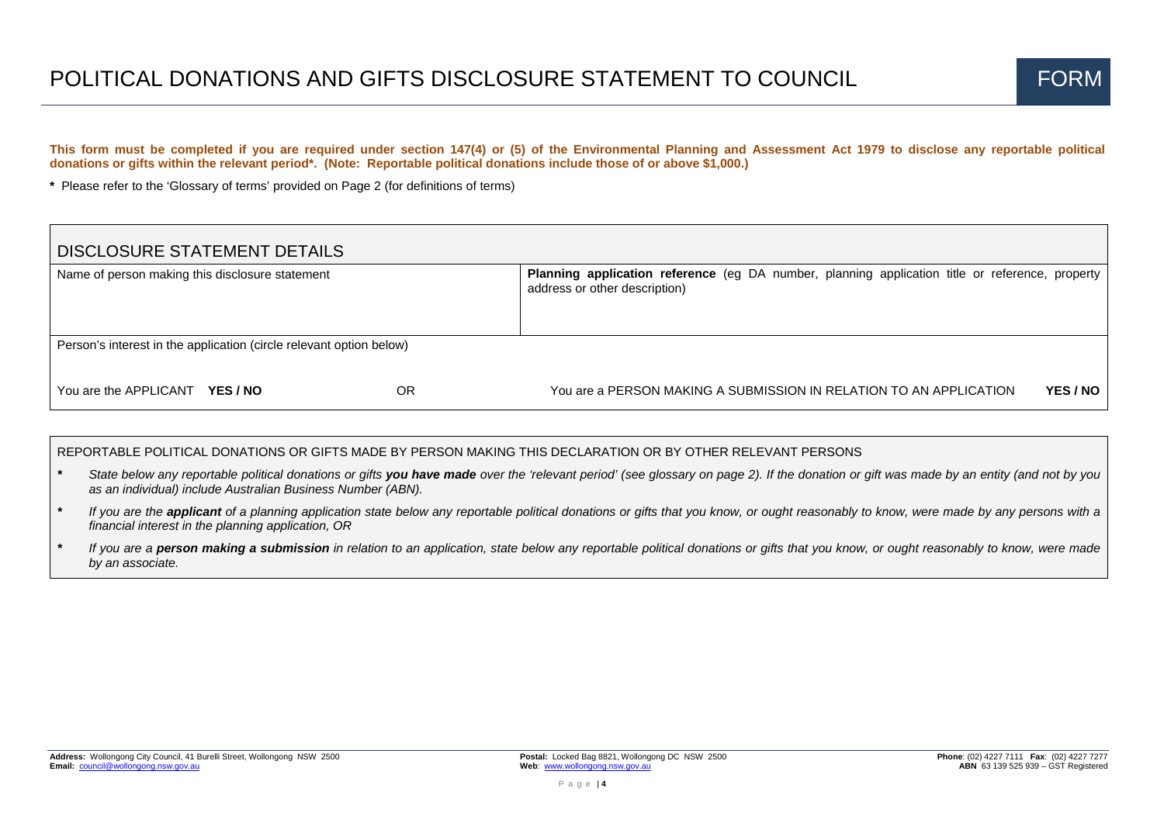**This form must be completed if you are required under section 147(4) or (5) of the Environmental Planning and Assessment Act 1979 to disclose any reportable political donations or gifts within the relevant period\*. (Note: Reportable political donations include those of or above \$1,000.)** 

**\*** Please refer to the 'Glossary of terms' provided on Page 2 (for definitions of terms)

| <b>DISCLOSURE STATEMENT DETAILS</b>                                 |                 |    |                                                                                                                                         |  |  |  |
|---------------------------------------------------------------------|-----------------|----|-----------------------------------------------------------------------------------------------------------------------------------------|--|--|--|
| Name of person making this disclosure statement                     |                 |    | <b>Planning application reference</b> (eg DA number, planning application title or reference, property<br>address or other description) |  |  |  |
|                                                                     |                 |    |                                                                                                                                         |  |  |  |
| Person's interest in the application (circle relevant option below) |                 |    |                                                                                                                                         |  |  |  |
| You are the APPLICANT                                               | <b>YES / NO</b> | OR | <b>YES/NO</b><br>You are a PERSON MAKING A SUBMISSION IN RELATION TO AN APPLICATION                                                     |  |  |  |

REPORTABLE POLITICAL DONATIONS OR GIFTS MADE BY PERSON MAKING THIS DECLARATION OR BY OTHER RELEVANT PERSONS

- State below any reportable political donations or gifts **vou have made** over the 'relevant period' (see glossary on page 2). If the donation or gift was made by an entity (and not by you *as an individual) include Australian Business Number (ABN).*
- *\* If you are the applicant of a planning application state below any reportable political donations or gifts that you know, or ought reasonably to know, were made by any persons with a financial interest in the planning application, OR*
- *\* If you are a person making a submission in relation to an application, state below any reportable political donations or gifts that you know, or ought reasonably to know, were made by an associate.*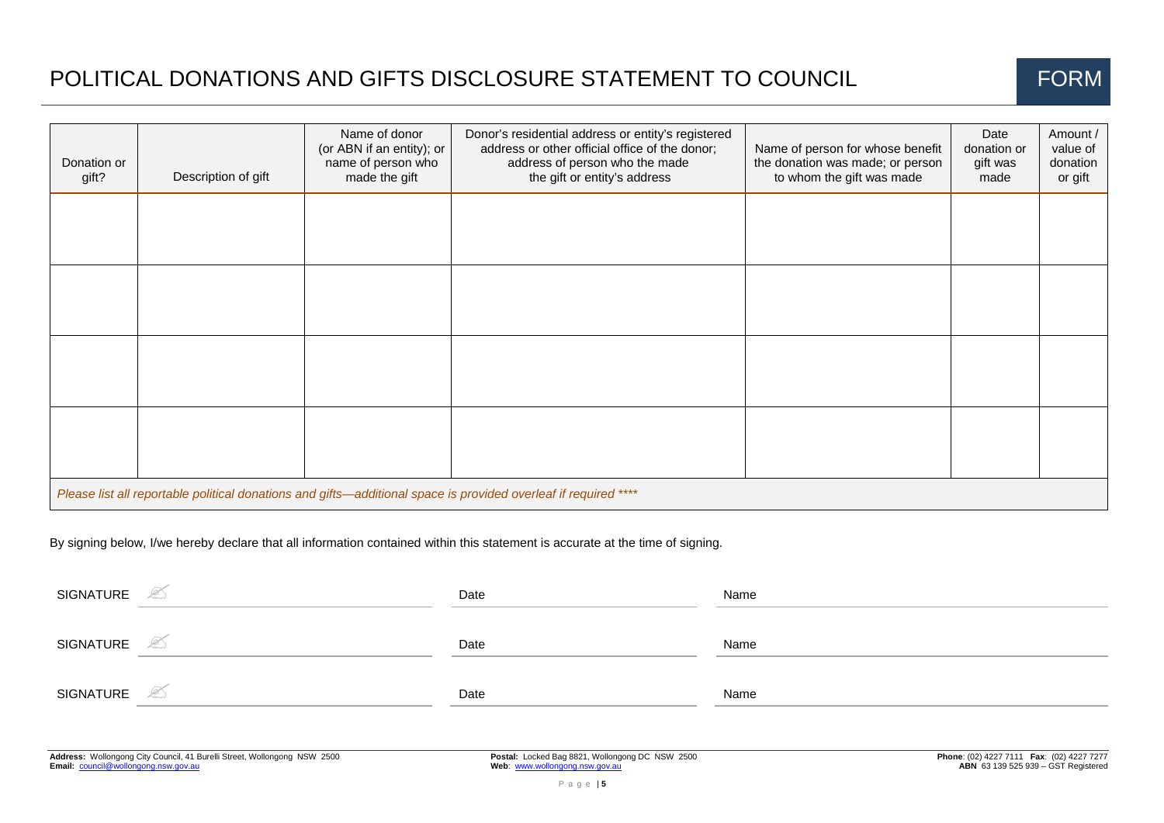# POLITICAL DONATIONS AND GIFTS DISCLOSURE STATEMENT TO COUNCIL



| Donation or<br>gift?                                                                                            | Description of gift | Name of donor<br>(or ABN if an entity); or<br>name of person who<br>made the gift | Donor's residential address or entity's registered<br>address or other official office of the donor;<br>address of person who the made<br>the gift or entity's address | Name of person for whose benefit<br>the donation was made; or person<br>to whom the gift was made | Date<br>donation or<br>gift was<br>made | Amount /<br>value of<br>donation<br>or gift |  |
|-----------------------------------------------------------------------------------------------------------------|---------------------|-----------------------------------------------------------------------------------|------------------------------------------------------------------------------------------------------------------------------------------------------------------------|---------------------------------------------------------------------------------------------------|-----------------------------------------|---------------------------------------------|--|
|                                                                                                                 |                     |                                                                                   |                                                                                                                                                                        |                                                                                                   |                                         |                                             |  |
|                                                                                                                 |                     |                                                                                   |                                                                                                                                                                        |                                                                                                   |                                         |                                             |  |
|                                                                                                                 |                     |                                                                                   |                                                                                                                                                                        |                                                                                                   |                                         |                                             |  |
|                                                                                                                 |                     |                                                                                   |                                                                                                                                                                        |                                                                                                   |                                         |                                             |  |
| Please list all reportable political donations and gifts—additional space is provided overleaf if required **** |                     |                                                                                   |                                                                                                                                                                        |                                                                                                   |                                         |                                             |  |

By signing below, I/we hereby declare that all information contained within this statement is accurate at the time of signing.

| SIGNATURE<br>$\triangle$   | Date | Name |
|----------------------------|------|------|
| SIGNATURE<br>$\mathscr{L}$ | Date | Name |
| SIGNATURE<br>L             | Date | Name |